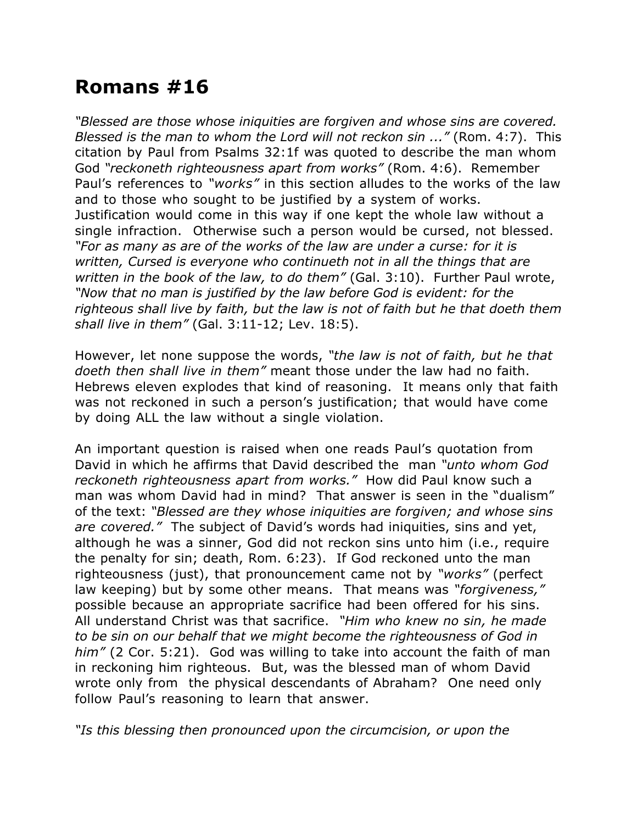## **Romans #16**

*"Blessed are those whose iniquities are forgiven and whose sins are covered. Blessed is the man to whom the Lord will not reckon sin ..."* (Rom. 4:7). This citation by Paul from Psalms 32:1f was quoted to describe the man whom God *"reckoneth righteousness apart from works"* (Rom. 4:6). Remember Paul's references to *"works"* in this section alludes to the works of the law and to those who sought to be justified by a system of works. Justification would come in this way if one kept the whole law without a single infraction. Otherwise such a person would be cursed, not blessed. *"For as many as are of the works of the law are under a curse: for it is written, Cursed is everyone who continueth not in all the things that are written in the book of the law, to do them"* (Gal. 3:10). Further Paul wrote, *"Now that no man is justified by the law before God is evident: for the righteous shall live by faith, but the law is not of faith but he that doeth them shall live in them"* (Gal. 3:11-12; Lev. 18:5).

However, let none suppose the words, *"the law is not of faith, but he that doeth then shall live in them"* meant those under the law had no faith. Hebrews eleven explodes that kind of reasoning. It means only that faith was not reckoned in such a person's justification; that would have come by doing ALL the law without a single violation.

An important question is raised when one reads Paul's quotation from David in which he affirms that David described the man *"unto whom God reckoneth righteousness apart from works."* How did Paul know such a man was whom David had in mind? That answer is seen in the "dualism" of the text: *"Blessed are they whose iniquities are forgiven; and whose sins are covered."* The subject of David's words had iniquities, sins and yet, although he was a sinner, God did not reckon sins unto him (i.e., require the penalty for sin; death, Rom. 6:23). If God reckoned unto the man righteousness (just), that pronouncement came not by *"works"* (perfect law keeping) but by some other means. That means was *"forgiveness,"* possible because an appropriate sacrifice had been offered for his sins. All understand Christ was that sacrifice. *"Him who knew no sin, he made to be sin on our behalf that we might become the righteousness of God in him"* (2 Cor. 5:21). God was willing to take into account the faith of man in reckoning him righteous. But, was the blessed man of whom David wrote only from the physical descendants of Abraham? One need only follow Paul's reasoning to learn that answer.

*"Is this blessing then pronounced upon the circumcision, or upon the*